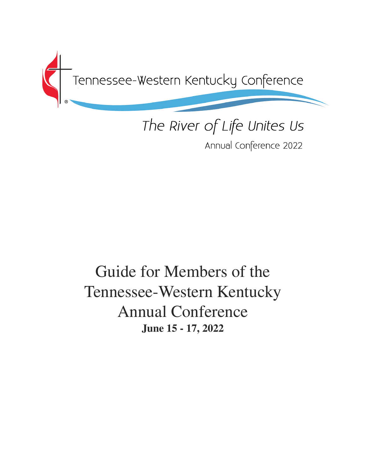

# The River of Life Unites Us

Annual Conference 2022

## Guide for Members of the Tennessee-Western Kentucky Annual Conference **June 15 - 17, 2022**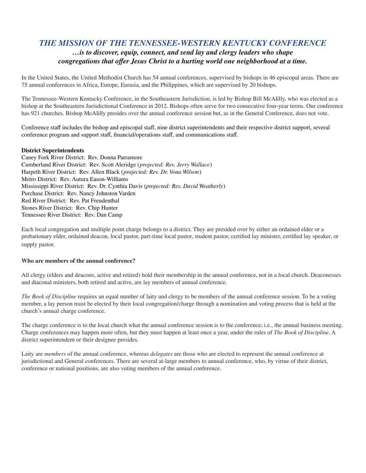### *THE MISSION OF THE TENNESSEE-WESTERN KENTUCKY CONFERENCE …is to discover, equip, connect, and send lay and clergy leaders who shape congregations that offer Jesus Christ to a hurting world one neighborhood at a time.*

In the United States, the United Methodist Church has 54 annual conferences, supervised by bishops in 46 episcopal areas. There are 75 annual conferences in Africa, Europe, Eurasia, and the Philippines, which are supervised by 20 bishops.

The Tennessee-Western Kentucky Conference, in the Southeastern Jurisdiction, is led by Bishop Bill McAlilly, who was elected as a bishop at the Southeastern Jurisdictional Conference in 2012. Bishops often serve for two consecutive four-year terms. Our conference has 921 churches. Bishop McAlilly presides over the annual conference session but, as in the General Conference, does not vote.

[Conference](http://www.bwcumc.org/about/staff-directory/) staff includes the bishop and episcopal staff, nine district superintendents and their respective district support, several conference program and support staff, financial/operations staff, and communications staff.

#### **District Superintendents**

Caney Fork River District: Rev. Donna Parramore Cumberland River District: Rev. Scott Aleridge (*projected: Rev. Jerry Wallace*) Harpeth River District: Rev. Allen Black (*projected: Rev. Dr. Vona Wilson*) Metro District: Rev. Autura Eason-Williams Mississippi River District: Rev. Dr. Cynthia Davis (*projected: Rev. David Weatherly*) Purchase District: Rev. Nancy Johnston Varden Red River District: Rev. Pat Freudenthal Stones River District: Rev. Chip Hunter Tennessee River District: Rev. Dan Camp

Each local congregation and multiple point charge belongs to a district. They are presided over by either an ordained elder or a probationary elder, ordained deacon, local pastor, part-time local pastor, student pastor, certified lay minister, certified lay speaker, or supply pastor.

#### **Who are members of the annual conference?**

All clergy (elders and deacons, active and retired) hold their membership in the annual conference, not in a local church. Deaconesses and diaconal ministers, both retired and active, are lay members of annual conference.

*The Book of Discipline* requires an equal number of laity and clergy to be members of the annual conference session. To be a voting member, a lay person must be elected by their local congregation/charge through a nomination and voting process that is held at the church's annual charge conference.

The charge conference is to the local church what the annual conference session is to the conference; i.e., the annual business meeting. Charge conferences may happen more often, but they must happen at least once a year, under the rules of *The Book of Discipline*. A district superintendent or their designee presides.

Laity are *members* of the annual conference, whereas *delegates* are those who are elected to represent the annual conference at jurisdictional and General conferences. There are several at-large members to annual conference, who, by virtue of their district, conference or national positions, are also voting members of the annual conference.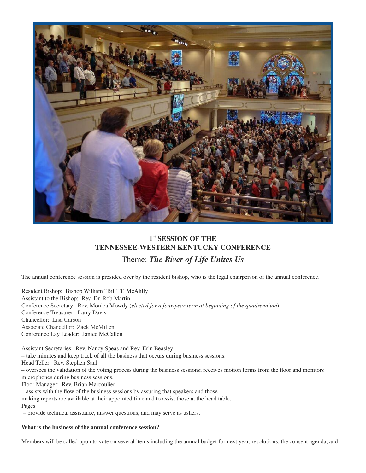

## **1 st SESSION OF THE TENNESSEE-WESTERN KENTUCKY CONFERENCE**

## Theme: *The River of Life Unites Us*

The annual conference session is presided over by the resident bishop, who is the legal chairperson of the annual conference.

Resident Bishop: Bishop William "Bill" T. McAlilly Assistant to the Bishop: Rev. Dr. Rob Martin Conference Secretary: Rev. Monica Mowdy (*elected for a four-year term at beginning of the quadrennium*) Conference Treasurer: Larry Davis Chancellor: Lisa Carson Associate Chancellor: Zack McMillen Conference Lay Leader: Janice McCallen

Assistant Secretaries: Rev. Nancy Speas and Rev. Erin Beasley – take minutes and keep track of all the business that occurs during business sessions. Head Teller: Rev. Stephen Saul – oversees the validation of the voting process during the business sessions; receives motion forms from the floor and monitors microphones during business sessions. Floor Manager: Rev. Brian Marcoulier – assists with the flow of the business sessions by assuring that speakers and those

making reports are available at their appointed time and to assist those at the head table. Pages

– provide technical assistance, answer questions, and may serve as ushers.

#### **What is the business of the annual conference session?**

Members will be called upon to vote on several items including the annual budget for next year, resolutions, the consent agenda, and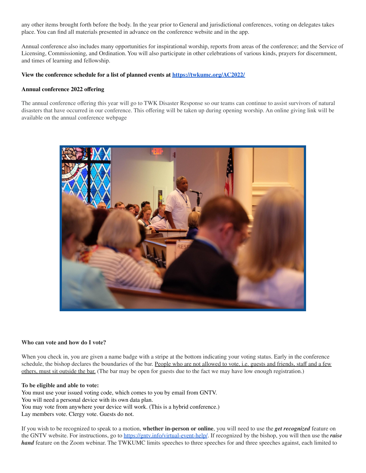any other items brought forth before the body. In the year prior to General and jurisdictional conferences, voting on delegates takes place. You can find all materials presented in advance on the conference website and in the app.

Annual conference also includes many opportunities for inspirational worship, reports from areas of the conference; and the Service of Licensing, Commissioning, and Ordination. You will also participate in other celebrations of various kinds, prayers for discernment, and times of learning and fellowship.

#### **View the conference schedule for a list of planned events at <https://twkumc.org/AC2022/>**

#### **Annual conference 2022 offering**

The annual conference offering this year will go to TWK Disaster Response so our teams can continue to assist survivors of natural disasters that have occurred in our conference. This offering will be taken up during opening worship. An online giving link will be available on the annual conference webpage



#### **Who can vote and how do I vote?**

When you check in, you are given a name badge with a stripe at the bottom indicating your voting status. Early in the conference schedule, the bishop declares the boundaries of the bar. People who are not allowed to vote, i.e. guests and friends, staff and a few others, must sit outside the bar. (The bar may be open for guests due to the fact we may have low enough registration.)

#### **To be eligible and able to vote:**

You must use your issued voting code, which comes to you by email from GNTV. You will need a personal device with its own data plan. You may vote from anywhere your device will work. (This is a hybrid conference.) Lay members vote. Clergy vote. Guests do not.

If you wish to be recognized to speak to a motion, **whether in-person or online**, you will need to use the *get recognized* feature on the GNTV website. For instructions, go to <https://gntv.info/virtual-event-help/>. If recognized by the bishop, you will then use the *raise hand* feature on the Zoom webinar. The TWKUMC limits speeches to three speeches for and three speeches against, each limited to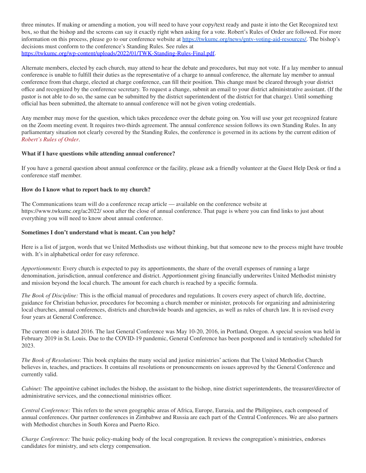three minutes. If making or amending a motion, you will need to have your copy/text ready and paste it into the Get Recognized text box, so that the bishop and the screens can say it exactly right when asking for a vote. Robert's Rules of Order are followed. For more information on this process, please go to our conference website at [https://twkumc.org/news/gntv-voting-aid-resources/.](https://twkumc.org/news/gntv-voting-aid-resources/) The bishop's decisions must conform to the conference's Standing Rules. See rules at <https://twkumc.org/wp-content/uploads/2022/01/TWK-Standing-Rules-Final.pdf>.

Alternate members, elected by each church, may attend to hear the debate and procedures, but may not vote. If a lay member to annual conference is unable to fulfill their duties as the representative of a charge to annual conference, the alternate lay member to annual conference from that charge, elected at charge conference, can fill their position. This change must be cleared through your district office and recognized by the conference secretary. To request a change, submit an email to your district administrative assistant. (If the pastor is not able to do so, the same can be submitted by the district superintendent of the district for that charge). Until something official has been submitted, the alternate to annual conference will not be given voting credentials.

Any member may move for the question, which takes precedence over the debate going on. You will use your get recognized feature on the Zoom meeting event. It requires two-thirds agreement. The annual conference session follows its own Standing Rules. In any parliamentary situation not clearly covered by the Standing Rules, the conference is governed in its actions by the current edition of *[Robert's](http://www.robertsrules.org/) Rules of Order*.

#### **What if I have questions while attending annual conference?**

If you have a general question about annual conference or the facility, please ask a friendly volunteer at the Guest Help Desk or find a conference staff member.

#### **How do I know what to report back to my church?**

The Communications team will do a conference recap article — available on the conference website at https://www.twkumc.org/ac2022/ soon after the close of annual conference. That page is where you can find links to just about everything you will need to know about annual conference.

#### **Sometimes I don't understand what is meant. Can you help?**

Here is a list of jargon, words that we United Methodists use without thinking, but that someone new to the process might have trouble with. It's in alphabetical order for easy reference.

*Apportionments*: Every church is expected to pay its apportionments, the share of the overall expenses of running a large denomination, jurisdiction, annual conference and district. Apportionment giving financially underwrites United Methodist ministry and mission beyond the local church. The amount for each church is reached by a specific formula.

*The Book of Discipline:* This is the official manual of procedures and regulations. It covers every aspect of church life, doctrine, guidance for Christian behavior, procedures for becoming a church member or minister, protocols for organizing and administering local churches, annual conferences, districts and churchwide boards and agencies, as well as rules of church law. It is revised every four years at General Conference.

The current one is dated 2016. The last General Conference was May 10-20, 2016, in Portland, Oregon. A special session was held in February 2019 in St. Louis. Due to the COVID-19 pandemic, General Conference has been postponed and is tentatively scheduled for 2023.

*The Book of Resolutions*: This book explains the many social and justice ministries' actions that The United Methodist Church believes in, teaches, and practices. It contains all resolutions or pronouncements on issues approved by the General Conference and currently valid.

*Cabinet:* The appointive cabinet includes the bishop, the assistant to the bishop, nine district superintendents, the treasurer/director of administrative services, and the connectional ministries officer.

*Central Conference:* This refers to the seven geographic areas of Africa, Europe, Eurasia, and the Philippines, each composed of annual conferences. Our partner conferences in Zimbabwe and Russia are each part of the Central Conferences. We are also partners with Methodist churches in South Korea and Puerto Rico.

*Charge Conference:* The basic policy-making body of the local congregation. It reviews the congregation's ministries, endorses candidates for ministry, and sets clergy compensation.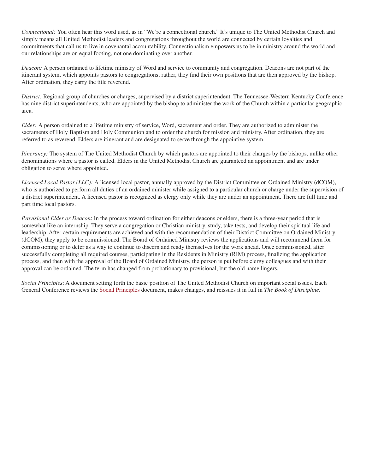*Connectional:* You often hear this word used, as in "We're a connectional church." It's unique to The United Methodist Church and simply means all United Methodist leaders and congregations throughout the world are connected by certain loyalties and commitments that call us to live in covenantal accountability. Connectionalism empowers us to be in ministry around the world and our relationships are on equal footing, not one dominating over another.

*Deacon:* A person ordained to lifetime ministry of Word and service to community and congregation. Deacons are not part of the itinerant system, which appoints pastors to congregations; rather, they find their own positions that are then approved by the bishop. After ordination, they carry the title reverend.

*District:* Regional group of churches or charges, supervised by a district superintendent. The Tennessee-Western Kentucky Conference has nine district superintendents, who are appointed by the bishop to administer the work of the Church within a particular geographic area.

*Elder:* A person ordained to a lifetime ministry of service, Word, sacrament and order. They are authorized to administer the sacraments of Holy Baptism and Holy Communion and to order the church for mission and ministry. After ordination, they are referred to as reverend. Elders are itinerant and are designated to serve through the appointive system.

*Itinerancy:* The system of The United Methodist Church by which pastors are appointed to their charges by the bishops, unlike other denominations where a pastor is called. Elders in the United Methodist Church are guaranteed an appointment and are under obligation to serve where appointed.

*Licensed Local Pastor (LLC):* A licensed local pastor, annually approved by the District Committee on Ordained Ministry (dCOM), who is authorized to perform all duties of an ordained minister while assigned to a particular church or charge under the supervision of a district superintendent. A licensed pastor is recognized as clergy only while they are under an appointment. There are full time and part time local pastors.

*Provisional Elder or Deacon*: In the process toward ordination for either deacons or elders, there is a three-year period that is somewhat like an internship. They serve a congregation or Christian ministry, study, take tests, and develop their spiritual life and leadership. After certain requirements are achieved and with the recommendation of their District Committee on Ordained Ministry (dCOM), they apply to be commissioned. The Board of Ordained Ministry reviews the applications and will recommend them for commissioning or to defer as a way to continue to discern and ready themselves for the work ahead. Once commissioned, after successfully completing all required courses, participating in the Residents in Ministry (RIM) process, finalizing the application process, and then with the approval of the Board of Ordained Ministry, the person is put before clergy colleagues and with their approval can be ordained. The term has changed from probationary to provisional, but the old name lingers.

*Social Principles*: A document setting forth the basic position of The United Methodist Church on important social issues. Each General Conference reviews the Social [Principles](http://www.umc.org/what-we-believe/social-principles-social-creed) document, makes changes, and reissues it in full in *The Book of Discipline*.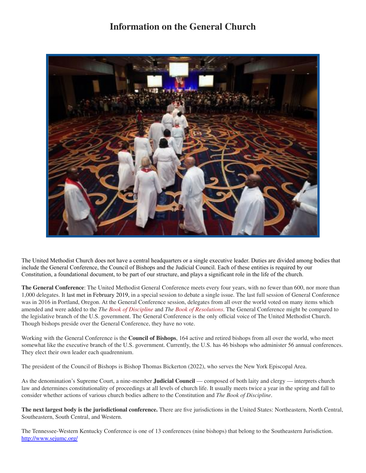## **Information on the General Church**



The United Methodist Church does not have a central headquarters or a single executive leader. Duties are divided among bodies that include the General Conference, the Council of Bishops and the Judicial Council. Each of these entities is required by our Constitution, a foundational document, to be part of our structure, and plays a significant role in the life of the church.

**The General Conference**: The United Methodist General Conference meets every four years, with no fewer than 600, nor more than 1,000 delegates. It last met in [February](http://www.umc.org/topics/general-conference-2016) 2019, in a special session to debate a single issue. The last full session of General Conference was in 2016 in Portland, Oregon. At the General Conference session, delegates from all over the world voted on many items which amended and were added to the *The Book of [Discipline](https://www.cokesbury.com/forms/DynamicContent.aspx?id=87&pageid=920)* and *The Book of [Resolutions](https://www.cokesbury.com/product/9781501833243/the-book-of-resolutions-of-the-united-methodist-church-2016/)*. The General Conference might be compared to the legislative branch of the U.S. government. The General Conference is the only official voice of The United Methodist Church. Though bishops preside over the General Conference, they have no vote.

Working with the General Conference is the **Council of Bishops**, 164 active and retired bishops from all over the world, who meet somewhat like the executive branch of the U.S. government. Currently, the U.S. has 46 bishops who administer 56 annual conferences. They elect their own leader each quadrennium.

The president of the Council of Bishops is Bishop Thomas Bickerton (2022), who serves the New York Episcopal Area.

As the denomination's Supreme Court, a nine-member **Judicial Council** — composed of both laity and clergy — interprets church law and determines constitutionality of proceedings at all levels of church life. It usually meets twice a year in the spring and fall to consider whether actions of various church bodies adhere to the Constitution and *The Book of Discipline*.

**The next largest body is the jurisdictional conference.** There are five jurisdictions in the United States: Northeastern, North Central, Southeastern, South Central, and Western.

The Tennessee-Western Kentucky Conference is one of 13 conferences (nine bishops) that belong to the Southeastern Jurisdiction. <http://www.sejumc.org/>